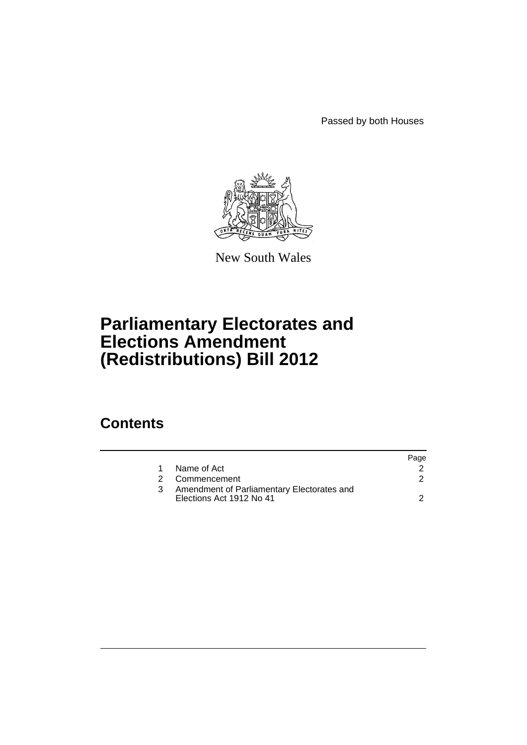Passed by both Houses



New South Wales

# **Parliamentary Electorates and Elections Amendment (Redistributions) Bill 2012**

### **Contents**

|               |                                                                        | Page |
|---------------|------------------------------------------------------------------------|------|
|               | Name of Act                                                            |      |
| $\mathcal{P}$ | Commencement                                                           |      |
|               | Amendment of Parliamentary Electorates and<br>Elections Act 1912 No 41 |      |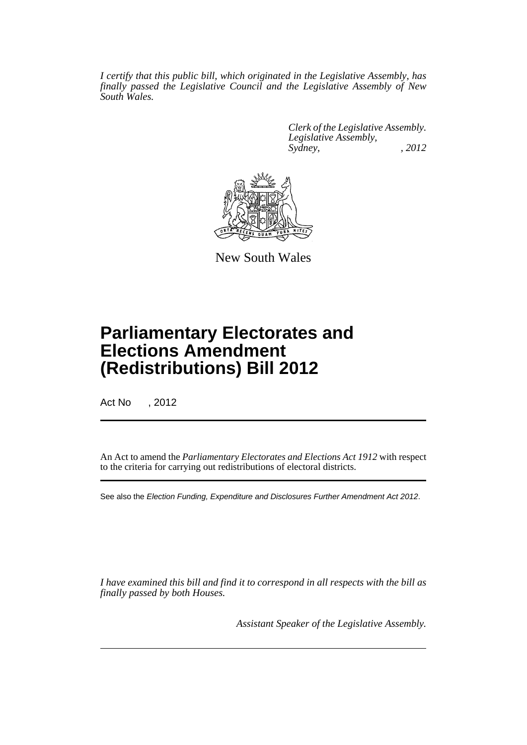*I certify that this public bill, which originated in the Legislative Assembly, has finally passed the Legislative Council and the Legislative Assembly of New South Wales.*

> *Clerk of the Legislative Assembly. Legislative Assembly, Sydney, , 2012*



New South Wales

## **Parliamentary Electorates and Elections Amendment (Redistributions) Bill 2012**

Act No , 2012

An Act to amend the *Parliamentary Electorates and Elections Act 1912* with respect to the criteria for carrying out redistributions of electoral districts.

See also the *Election Funding, Expenditure and Disclosures Further Amendment Act 2012*.

*I have examined this bill and find it to correspond in all respects with the bill as finally passed by both Houses.*

*Assistant Speaker of the Legislative Assembly.*